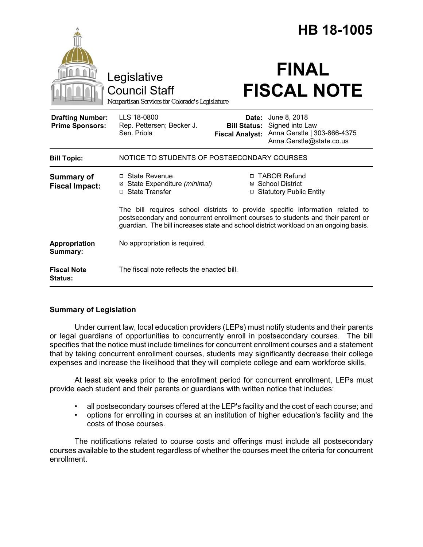|                                                   |                                                                                                                                                                                                                                                          |                                                        | <b>HB 18-1005</b>                                                                          |                    |  |
|---------------------------------------------------|----------------------------------------------------------------------------------------------------------------------------------------------------------------------------------------------------------------------------------------------------------|--------------------------------------------------------|--------------------------------------------------------------------------------------------|--------------------|--|
|                                                   | Legislative<br><b>Council Staff</b><br>Nonpartisan Services for Colorado's Legislature                                                                                                                                                                   |                                                        | <b>FINAL</b>                                                                               | <b>FISCAL NOTE</b> |  |
| <b>Drafting Number:</b><br><b>Prime Sponsors:</b> | LLS 18-0800<br>Rep. Pettersen; Becker J.<br>Sen. Priola                                                                                                                                                                                                  | Date:<br><b>Bill Status:</b><br><b>Fiscal Analyst:</b> | June 8, 2018<br>Signed into Law<br>Anna Gerstle   303-866-4375<br>Anna.Gerstle@state.co.us |                    |  |
| <b>Bill Topic:</b>                                | NOTICE TO STUDENTS OF POSTSECONDARY COURSES                                                                                                                                                                                                              |                                                        |                                                                                            |                    |  |
| <b>Summary of</b><br><b>Fiscal Impact:</b>        | $\Box$ State Revenue<br>⊠ State Expenditure (minimal)<br>□ State Transfer                                                                                                                                                                                | □                                                      | □ TABOR Refund<br>⊠ School District<br><b>Statutory Public Entity</b>                      |                    |  |
|                                                   | The bill requires school districts to provide specific information related to<br>postsecondary and concurrent enrollment courses to students and their parent or<br>guardian. The bill increases state and school district workload on an ongoing basis. |                                                        |                                                                                            |                    |  |
| Appropriation<br>Summary:                         | No appropriation is required.                                                                                                                                                                                                                            |                                                        |                                                                                            |                    |  |
| <b>Fiscal Note</b><br>Status:                     | The fiscal note reflects the enacted bill.                                                                                                                                                                                                               |                                                        |                                                                                            |                    |  |

# **Summary of Legislation**

Under current law, local education providers (LEPs) must notify students and their parents or legal guardians of opportunities to concurrently enroll in postsecondary courses. The bill specifies that the notice must include timelines for concurrent enrollment courses and a statement that by taking concurrent enrollment courses, students may significantly decrease their college expenses and increase the likelihood that they will complete college and earn workforce skills.

At least six weeks prior to the enrollment period for concurrent enrollment, LEPs must provide each student and their parents or guardians with written notice that includes:

- all postsecondary courses offered at the LEP's facility and the cost of each course; and
- options for enrolling in courses at an institution of higher education's facility and the costs of those courses.

The notifications related to course costs and offerings must include all postsecondary courses available to the student regardless of whether the courses meet the criteria for concurrent enrollment.